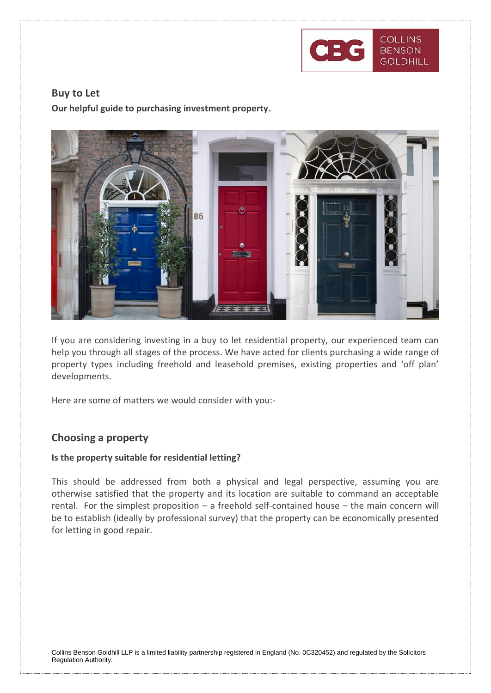

### **Buy to Let**

**Our helpful guide to purchasing investment property.**



If you are considering investing in a buy to let residential property, our experienced team can help you through all stages of the process. We have acted for clients purchasing a wide range of property types including freehold and leasehold premises, existing properties and 'off plan' developments.

Here are some of matters we would consider with you:-

### **Choosing a property**

#### **Is the property suitable for residential letting?**

This should be addressed from both a physical and legal perspective, assuming you are otherwise satisfied that the property and its location are suitable to command an acceptable rental. For the simplest proposition – a freehold self-contained house – the main concern will be to establish (ideally by professional survey) that the property can be economically presented for letting in good repair.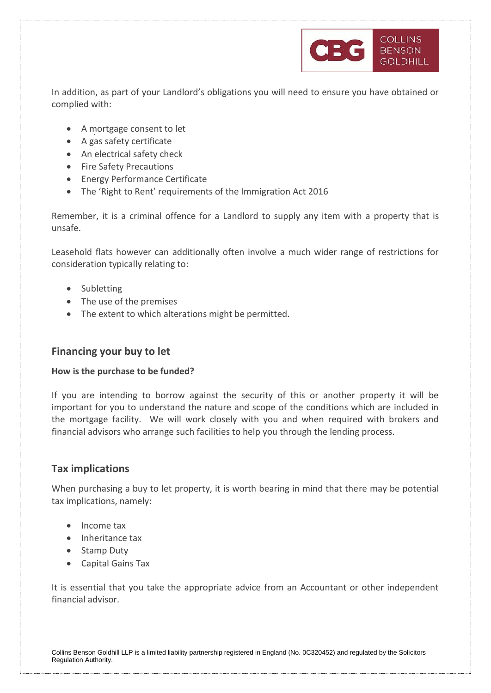

In addition, as part of your Landlord's obligations you will need to ensure you have obtained or complied with:

- A mortgage consent to let
- A gas safety certificate
- An electrical safety check
- Fire Safety Precautions
- Energy Performance Certificate
- The 'Right to Rent' requirements of the Immigration Act 2016

Remember, it is a criminal offence for a Landlord to supply any item with a property that is unsafe.

Leasehold flats however can additionally often involve a much wider range of restrictions for consideration typically relating to:

- Subletting
- The use of the premises
- The extent to which alterations might be permitted.

# **Financing your buy to let**

#### **How is the purchase to be funded?**

If you are intending to borrow against the security of this or another property it will be important for you to understand the nature and scope of the conditions which are included in the mortgage facility. We will work closely with you and when required with brokers and financial advisors who arrange such facilities to help you through the lending process.

# **Tax implications**

When purchasing a buy to let property, it is worth bearing in mind that there may be potential tax implications, namely:

- Income tax
- Inheritance tax
- Stamp Duty
- Capital Gains Tax

It is essential that you take the appropriate advice from an Accountant or other independent financial advisor.